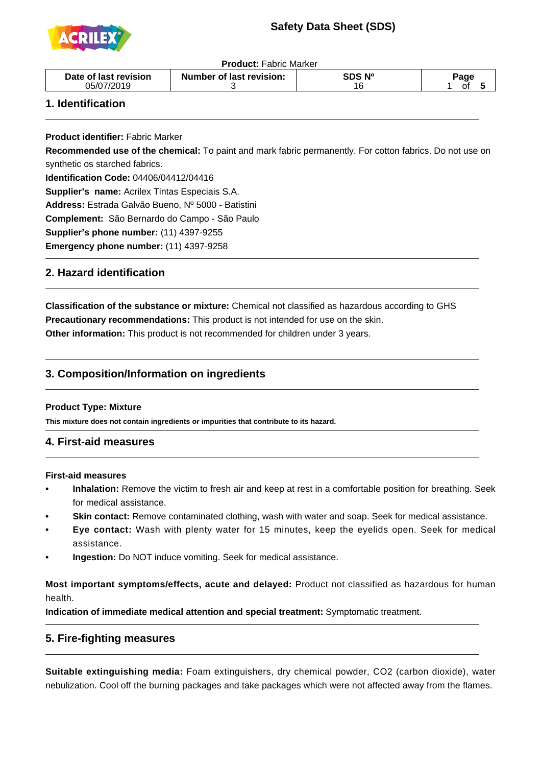# **Safety Data Sheet (SDS)**



**Product:** Fabric Marker

|--|

### **1. Identification**

 $\overline{a}$ 

j

-

j

**Product identifier:** Fabric Marker

**Recommended use of the chemical:** To paint and mark fabric permanently. For cotton fabrics. Do not use on synthetic os starched fabrics.

**Identification Code:** 04406/04412/04416

**Supplier's name:** Acrilex Tintas Especiais S.A.

**Address:** Estrada Galvão Bueno, Nº 5000 - Batistini

**Complement:** São Bernardo do Campo - São Paulo

**Supplier's phone number:** (11) 4397-9255

**Emergency phone number:** (11) 4397-9258

### **2. Hazard identification**

**Classification of the substance or mixture:** Chemical not classified as hazardous according to GHS **Precautionary recommendations:** This product is not intended for use on the skin. **Other information:** This product is not recommended for children under 3 years.

### **3. Composition/Information on ingredients**

#### **Product Type: Mixture**

**This mixture does not contain ingredients or impurities that contribute to its hazard.**

#### -**4. First-aid measures**

#### **First-aid measures**

- **•** Inhalation: Remove the victim to fresh air and keep at rest in a comfortable position for breathing. Seek for medical assistance.
- **Skin contact:** Remove contaminated clothing, wash with water and soap. Seek for medical assistance.
- **Eye contact:** Wash with plenty water for 15 minutes, keep the eyelids open. Seek for medical assistance.
- **Ingestion:** Do NOT induce vomiting. Seek for medical assistance.

**Most important symptoms/effects, acute and delayed:** Product not classified as hazardous for human health.

**Indication of immediate medical attention and special treatment:** Symptomatic treatment.

#### **5. Fire-fighting measures**

**Suitable extinguishing media:** Foam extinguishers, dry chemical powder, CO2 (carbon dioxide), water nebulization. Cool off the burning packages and take packages which were not affected away from the flames.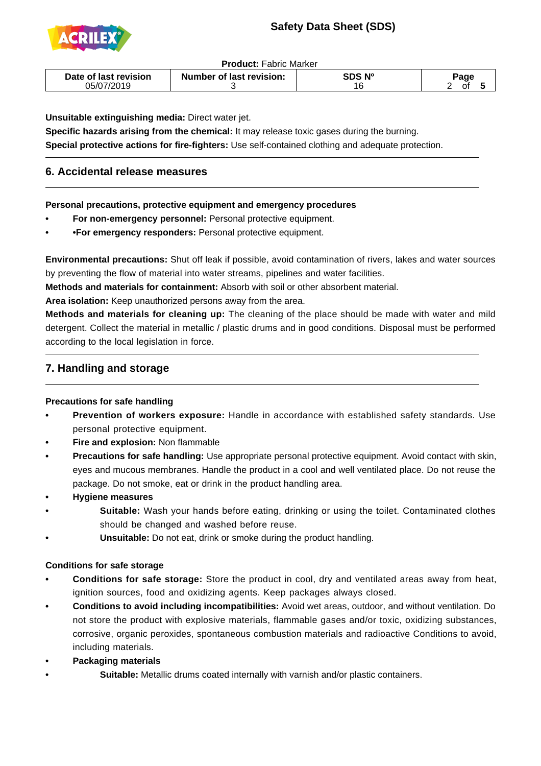# **Safety Data Sheet (SDS)**



 $\overline{a}$ 

-

**Product:** Fabric Marker

| Date of last revision | Number of last revision: | SDS Nº | aqe |
|-----------------------|--------------------------|--------|-----|
| 05/07/2019            |                          | 16     | ωı  |

**Unsuitable extinguishing media:** Direct water jet.

**Specific hazards arising from the chemical:** It may release toxic gases during the burning. **Special protective actions for fire-fighters:** Use self-contained clothing and adequate protection.

## **6. Accidental release measures**

**Personal precautions, protective equipment and emergency procedures**

- For non-emergency personnel: Personal protective equipment.
- **• For emergency responders:** Personal protective equipment.

**Environmental precautions:** Shut off leak if possible, avoid contamination of rivers, lakes and water sources by preventing the flow of material into water streams, pipelines and water facilities.

**Methods and materials for containment:** Absorb with soil or other absorbent material.

**Area isolation:** Keep unauthorized persons away from the area.

**Methods and materials for cleaning up:** The cleaning of the place should be made with water and mild detergent. Collect the material in metallic / plastic drums and in good conditions. Disposal must be performed according to the local legislation in force.

### **7. Handling and storage**

#### **Precautions for safe handling**

- **Prevention of workers exposure:** Handle in accordance with established safety standards. Use personal protective equipment.
- **Fire and explosion: Non flammable**
- **•** Precautions for safe handling: Use appropriate personal protective equipment. Avoid contact with skin, eyes and mucous membranes. Handle the product in a cool and well ventilated place. Do not reuse the package. Do not smoke, eat or drink in the product handling area.
- **• Hygiene measures**
	- **•** Suitable: Wash your hands before eating, drinking or using the toilet. Contaminated clothes should be changed and washed before reuse.
	- **Unsuitable:** Do not eat, drink or smoke during the product handling.

#### **Conditions for safe storage**

- **Conditions for safe storage:** Store the product in cool, dry and ventilated areas away from heat, ignition sources, food and oxidizing agents. Keep packages always closed.
- **• Conditions to avoid including incompatibilities:** Avoid wet areas, outdoor, and without ventilation. Do not store the product with explosive materials, flammable gases and/or toxic, oxidizing substances, corrosive, organic peroxides, spontaneous combustion materials and radioactive Conditions to avoid, including materials.
- **Packaging materials** 
	- **Suitable:** Metallic drums coated internally with varnish and/or plastic containers.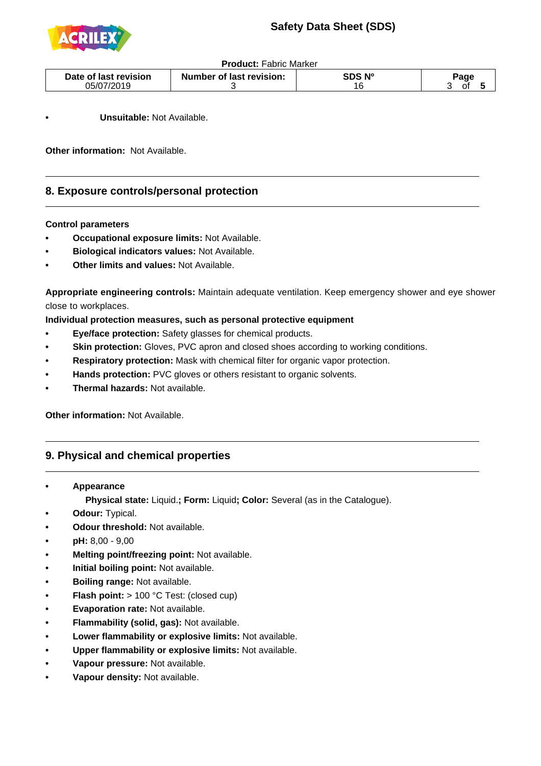

**Product:** Fabric Marker

| Date of last revision | <b>Number of last revision:</b> | `DS Nº | ാage |
|-----------------------|---------------------------------|--------|------|
| 05/07/2019            |                                 | 16     | οt   |

**Unsuitable: Not Available.** 

**Other information:** Not Available.

#### **8. Exposure controls/personal protection**

#### **Control parameters**

 $\overline{a}$ 

- **Occupational exposure limits: Not Available.**
- **• Biological indicators values:** Not Available.
- **Other limits and values: Not Available.**

**Appropriate engineering controls:** Maintain adequate ventilation. Keep emergency shower and eye shower close to workplaces.

**Individual protection measures, such as personal protective equipment**

- **• Eye/face protection:** Safety glasses for chemical products.
- **Skin protection:** Gloves, PVC apron and closed shoes according to working conditions.
- **Respiratory protection:** Mask with chemical filter for organic vapor protection.
- **Hands protection:** PVC gloves or others resistant to organic solvents.
- **• Thermal hazards:** Not available.

**Other information:** Not Available.

#### **9. Physical and chemical properties**

 **• Appearance**

-

 **Physical state:** Liquid.**; Form:** Liquid**; Color:** Several (as in the Catalogue).

- **Odour: Typical.**
- **• Odour threshold:** Not available.
- **• pH:** 8,00 9,00
- **Melting point/freezing point: Not available.**
- **• Initial boiling point:** Not available.
- **• Boiling range:** Not available.
- **• Flash point:** > 100 °C Test: (closed cup)
- **• Evaporation rate:** Not available.
- **Flammability (solid, gas): Not available.**
- **• Lower flammability or explosive limits:** Not available.
- **• Upper flammability or explosive limits:** Not available.
- **Vapour pressure: Not available.**
- **Vapour density: Not available.**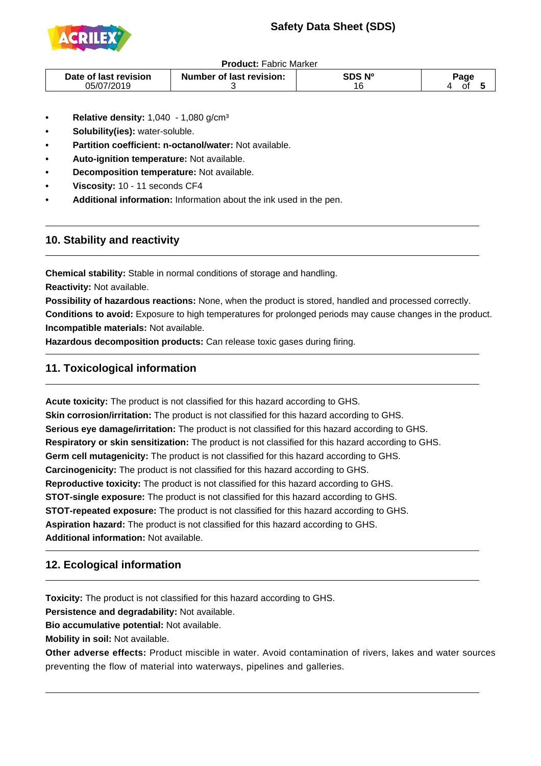# **Safety Data Sheet (SDS)**



#### **Product:** Fabric Marker

| Date of last revision | <b>Number of last revision:</b> | SDS Nº | ാage |
|-----------------------|---------------------------------|--------|------|
| 05/07/2019            |                                 | 16     | ^1   |

- **Relative density: 1,040 1,080 g/cm<sup>3</sup>**
- **Solubility(ies):** water-soluble.
- **Partition coefficient: n-octanol/water: Not available.**
- **Auto-ignition temperature:** Not available.
- **Decomposition temperature:** Not available.
- **Viscosity: 10 11 seconds CF4**
- **Additional information:** Information about the ink used in the pen.

### **10. Stability and reactivity**

 $\overline{a}$ 

-

1

j

**Chemical stability:** Stable in normal conditions of storage and handling. **Reactivity:** Not available.

**Possibility of hazardous reactions:** None, when the product is stored, handled and processed correctly. **Conditions to avoid:** Exposure to high temperatures for prolonged periods may cause changes in the product. **Incompatible materials:** Not available.

**Hazardous decomposition products:** Can release toxic gases during firing.

## **11. Toxicological information**

**Acute toxicity:** The product is not classified for this hazard according to GHS. **Skin corrosion/irritation:** The product is not classified for this hazard according to GHS. **Serious eye damage/irritation:** The product is not classified for this hazard according to GHS. **Respiratory or skin sensitization:** The product is not classified for this hazard according to GHS. **Germ cell mutagenicity:** The product is not classified for this hazard according to GHS. **Carcinogenicity:** The product is not classified for this hazard according to GHS. **Reproductive toxicity:** The product is not classified for this hazard according to GHS. **STOT-single exposure:** The product is not classified for this hazard according to GHS. **STOT-repeated exposure:** The product is not classified for this hazard according to GHS. **Aspiration hazard:** The product is not classified for this hazard according to GHS. **Additional information:** Not available.

## **12. Ecological information**

**Toxicity:** The product is not classified for this hazard according to GHS.

**Persistence and degradability:** Not available.

**Bio accumulative potential:** Not available.

**Mobility in soil:** Not available.

**Other adverse effects:** Product miscible in water. Avoid contamination of rivers, lakes and water sources preventing the flow of material into waterways, pipelines and galleries.